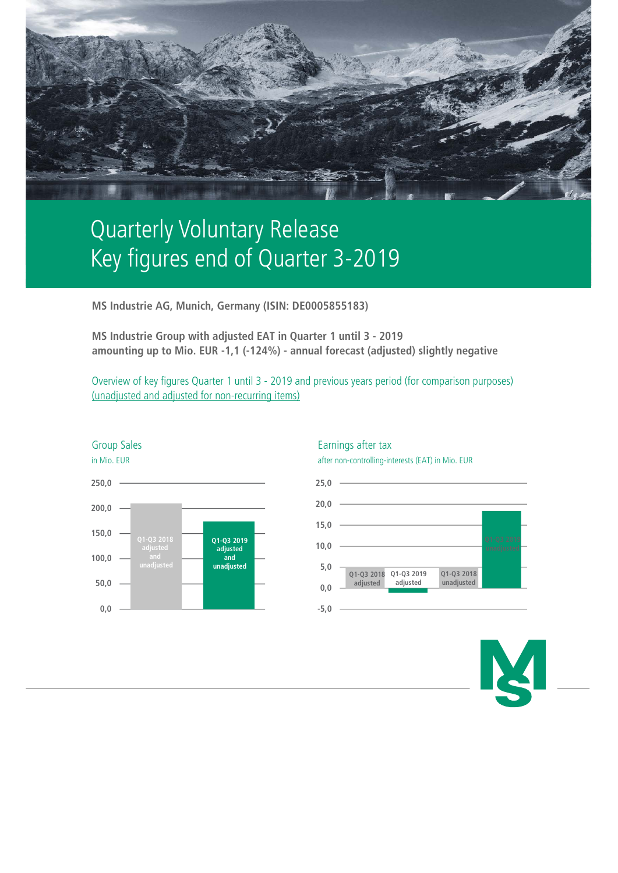

# Quarterly Voluntary Release Key figures end of Quarter 3-2019

**MS Industrie AG, Munich, Germany (ISIN: DE0005855183)**

**MS Industrie Group with adjusted EAT in Quarter 1 until 3 - 2019 amounting up to Mio. EUR -1,1 (-124%) - annual forecast (adjusted) slightly negative**

Overview of key figures Quarter 1 until 3 - 2019 and previous years period (for comparison purposes) (unadjusted and adjusted for non-recurring items)





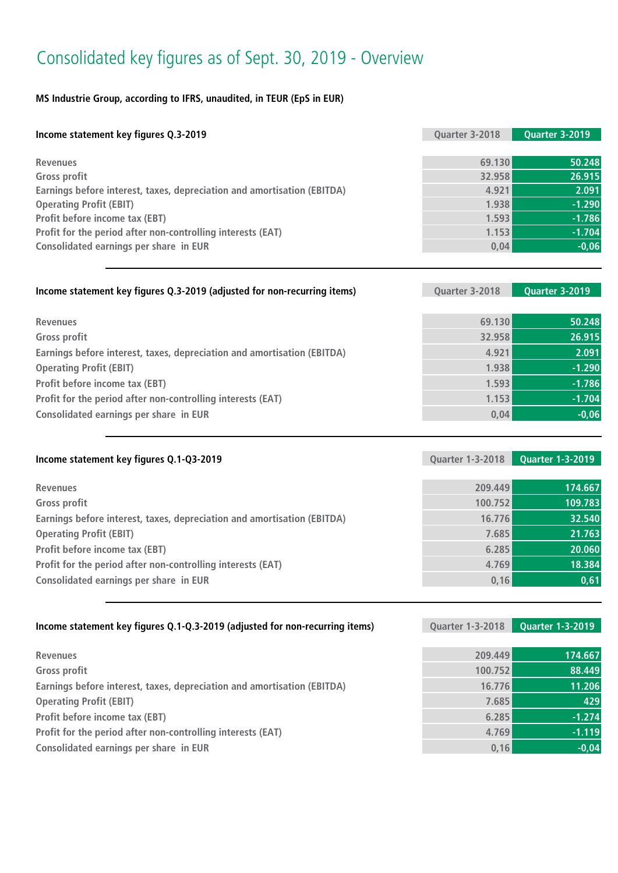## Consolidated key figures as of Sept. 30, 2019 - Overview

### **MS Industrie Group, according to IFRS, unaudited, in TEUR (EpS in EUR)**

| Income statement key figures Q.3-2019                                   | Quarter 3-2018 | Quarter 3-2019 |
|-------------------------------------------------------------------------|----------------|----------------|
|                                                                         |                |                |
| <b>Revenues</b>                                                         | 69.130         | 50.248         |
| <b>Gross profit</b>                                                     | 32.958         | 26.915         |
| Earnings before interest, taxes, depreciation and amortisation (EBITDA) | 4.921          | 2.091          |
| <b>Operating Profit (EBIT)</b>                                          | 1.938          | $-1.290$       |
| Profit before income tax (EBT)                                          | 1.593          | $-1.786$       |
| Profit for the period after non-controlling interests (EAT)             | 1.153          | $-1.704$       |
| Consolidated earnings per share in EUR                                  | 0.04           | $-0,06$        |

| Income statement key figures Q.3-2019 (adjusted for non-recurring items) | Quarter 3-2018 | Quarter 3-2019 |
|--------------------------------------------------------------------------|----------------|----------------|
|                                                                          |                |                |
| <b>Revenues</b>                                                          | 69.130         | 50.248         |
| Gross profit                                                             | 32.958         | 26.915         |
| Earnings before interest, taxes, depreciation and amortisation (EBITDA)  | 4.921          | 2.091          |
| <b>Operating Profit (EBIT)</b>                                           | 1.938          | $-1.290$       |
| Profit before income tax (EBT)                                           | 1.593          | $-1.786$       |
| Profit for the period after non-controlling interests (EAT)              | 1.153          | $-1.704$       |
| Consolidated earnings per share in EUR                                   | 0,04           | $-0,06$        |
|                                                                          |                |                |

| Income statement key figures Q.1-Q3-2019                                | <b>Quarter 1-3-2018</b> | <b>Quarter 1-3-2019</b> |
|-------------------------------------------------------------------------|-------------------------|-------------------------|
|                                                                         |                         |                         |
| <b>Revenues</b>                                                         | 209.449                 | 174.667                 |
| <b>Gross profit</b>                                                     | 100.752                 | 109.783                 |
| Earnings before interest, taxes, depreciation and amortisation (EBITDA) | 16.776                  | 32.540                  |
| <b>Operating Profit (EBIT)</b>                                          | 7.685                   | 21.763                  |
| Profit before income tax (EBT)                                          | 6.285                   | 20.060                  |
| Profit for the period after non-controlling interests (EAT)             | 4.769                   | 18.384                  |
| Consolidated earnings per share in EUR                                  | 0,16                    | 0,61                    |
|                                                                         |                         |                         |

| Income statement key figures Q.1-Q.3-2019 (adjusted for non-recurring items) | <b>Quarter 1-3-2018</b> | <b>Quarter 1-3-2019</b> |
|------------------------------------------------------------------------------|-------------------------|-------------------------|
|                                                                              |                         |                         |
| <b>Revenues</b>                                                              | 209.449                 | 174.667                 |
| <b>Gross profit</b>                                                          | 100.752                 | 88.449                  |
| Earnings before interest, taxes, depreciation and amortisation (EBITDA)      | 16.776                  | 11.206                  |
| <b>Operating Profit (EBIT)</b>                                               | 7.685                   | 429                     |
| Profit before income tax (EBT)                                               | 6.285                   | $-1.274$                |
| Profit for the period after non-controlling interests (EAT)                  | 4.769                   | $-1.119$                |
| Consolidated earnings per share in EUR                                       | 0, 16                   | $-0,04$                 |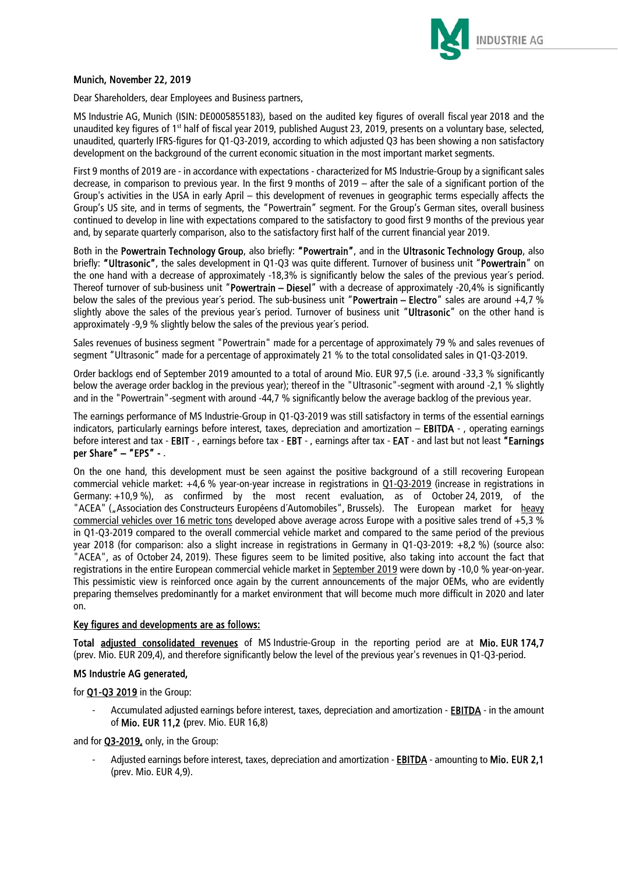

#### Munich, November 22, 2019

Dear Shareholders, dear Employees and Business partners,

MS Industrie AG, Munich (ISIN: DE0005855183), based on the audited key figures of overall fiscal year 2018 and the unaudited key figures of 1<sup>st</sup> half of fiscal year 2019, published August 23, 2019, presents on a voluntary base, selected, unaudited, quarterly IFRS-figures for Q1-Q3-2019, according to which adjusted Q3 has been showing a non satisfactory development on the background of the current economic situation in the most important market segments.

First 9 months of 2019 are - in accordance with expectations - characterized for MS Industrie-Group by a significant sales decrease, in comparison to previous year. In the first 9 months of 2019 – after the sale of a significant portion of the Group's activities in the USA in early April – this development of revenues in geographic terms especially affects the Group's US site, and in terms of segments, the "Powertrain" segment. For the Group's German sites, overall business continued to develop in line with expectations compared to the satisfactory to good first 9 months of the previous year and, by separate quarterly comparison, also to the satisfactory first half of the current financial year 2019.

Both in the Powertrain Technology Group, also briefly: "Powertrain", and in the Ultrasonic Technology Group, also briefly: "Ultrasonic", the sales development in Q1-Q3 was quite different. Turnover of business unit "Powertrain" on the one hand with a decrease of approximately -18,3% is significantly below the sales of the previous year´s period. Thereof turnover of sub-business unit "Powertrain – Diesel" with a decrease of approximately -20,4% is significantly below the sales of the previous year's period. The sub-business unit "Powertrain – Electro" sales are around  $+4.7$  % slightly above the sales of the previous year's period. Turnover of business unit "Ultrasonic" on the other hand is approximately -9,9 % slightly below the sales of the previous year´s period.

Sales revenues of business segment "Powertrain" made for a percentage of approximately 79 % and sales revenues of segment "Ultrasonic" made for a percentage of approximately 21 % to the total consolidated sales in Q1-Q3-2019.

Order backlogs end of September 2019 amounted to a total of around Mio. EUR 97,5 (i.e. around -33,3 % significantly below the average order backlog in the previous year); thereof in the "Ultrasonic"-segment with around -2,1 % slightly and in the "Powertrain"-segment with around -44,7 % significantly below the average backlog of the previous year.

The earnings performance of MS Industrie-Group in Q1-Q3-2019 was still satisfactory in terms of the essential earnings indicators, particularly earnings before interest, taxes, depreciation and amortization – EBITDA - , operating earnings before interest and tax - EBIT - , earnings before tax - EBT - , earnings after tax - EAT - and last but not least "Earnings per Share" – "EPS" - .

On the one hand, this development must be seen against the positive background of a still recovering European commercial vehicle market: +4,6 % year-on-year increase in registrations in Q1-Q3-2019 (increase in registrations in Germany: +10,9 %), as confirmed by the most recent evaluation, as of October 24, 2019, of the "ACEA" ("Association des Constructeurs Européens d'Automobiles", Brussels). The European market for heavy commercial vehicles over 16 metric tons developed above average across Europe with a positive sales trend of +5,3 % in Q1-Q3-2019 compared to the overall commercial vehicle market and compared to the same period of the previous year 2018 (for comparison: also a slight increase in registrations in Germany in Q1-Q3-2019: +8,2 %) (source also: "ACEA", as of October 24, 2019). These figures seem to be limited positive, also taking into account the fact that registrations in the entire European commercial vehicle market in September 2019 were down by -10,0 % year-on-year. This pessimistic view is reinforced once again by the current announcements of the major OEMs, who are evidently preparing themselves predominantly for a market environment that will become much more difficult in 2020 and later on.

#### Key figures and developments are as follows:

Total adjusted consolidated revenues of MS Industrie-Group in the reporting period are at Mio. EUR 174,7 (prev. Mio. EUR 209,4), and therefore significantly below the level of the previous year's revenues in Q1-Q3-period.

#### MS Industrie AG generated,

for Q1-Q3 2019 in the Group:

Accumulated adjusted earnings before interest, taxes, depreciation and amortization - EBITDA - in the amount of Mio. EUR 11,2 (prev. Mio. EUR 16,8)

and for **Q3-2019**, only, in the Group:

Adjusted earnings before interest, taxes, depreciation and amortization - EBITDA - amounting to Mio. EUR 2,1 (prev. Mio. EUR 4,9).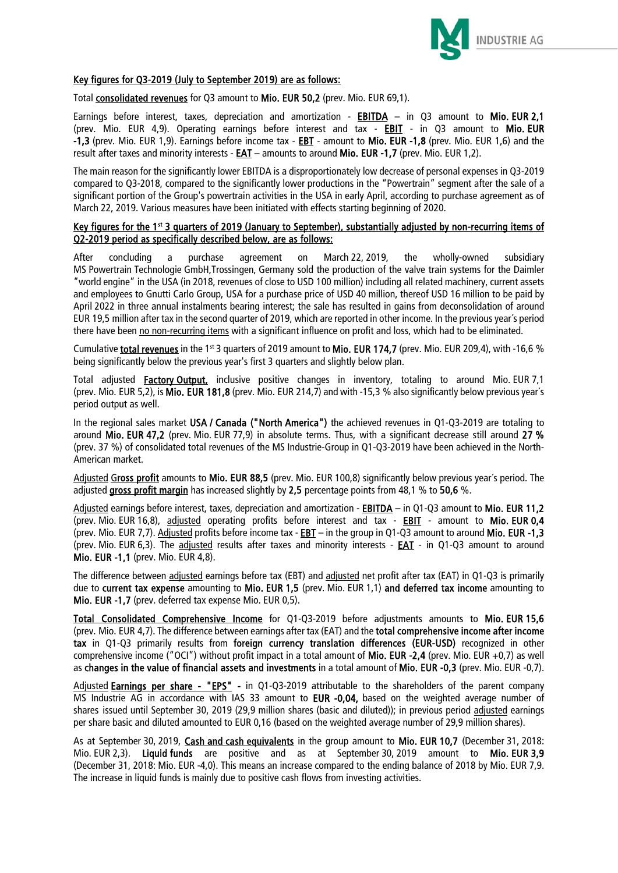

#### Key figures for Q3-2019 (July to September 2019) are as follows:

Total consolidated revenues for Q3 amount to Mio. EUR 50,2 (prev. Mio. EUR 69,1).

Earnings before interest, taxes, depreciation and amortization - **EBITDA** - in Q3 amount to Mio. EUR 2,1 (prev. Mio. EUR 4,9). Operating earnings before interest and tax - **EBIT** - in Q3 amount to Mio. EUR -1,3 (prev. Mio. EUR 1,9). Earnings before income tax - EBT - amount to Mio. EUR -1,8 (prev. Mio. EUR 1,6) and the result after taxes and minority interests -  $EAT$  – amounts to around Mio. EUR -1,7 (prev. Mio. EUR 1,2).</u>

The main reason for the significantly lower EBITDA is a disproportionately low decrease of personal expenses in Q3-2019 compared to Q3-2018, compared to the significantly lower productions in the "Powertrain" segment after the sale of a significant portion of the Group's powertrain activities in the USA in early April, according to purchase agreement as of March 22, 2019. Various measures have been initiated with effects starting beginning of 2020.

#### Key figures for the 1<sup>st</sup> 3 quarters of 2019 (January to September), substantially adjusted by non-recurring items of Q2-2019 period as specifically described below, are as follows:

After concluding a purchase agreement on March 22, 2019, the wholly-owned subsidiary MS Powertrain Technologie GmbH,Trossingen, Germany sold the production of the valve train systems for the Daimler "world engine" in the USA (in 2018, revenues of close to USD 100 million) including all related machinery, current assets and employees to Gnutti Carlo Group, USA for a purchase price of USD 40 million, thereof USD 16 million to be paid by April 2022 in three annual instalments bearing interest; the sale has resulted in gains from deconsolidation of around EUR 19,5 million after tax in the second quarter of 2019, which are reported in other income. In the previous year´s period there have been no non-recurring items with a significant influence on profit and loss, which had to be eliminated.

Cumulative total revenues in the 1<sup>st</sup> 3 quarters of 2019 amount to Mio. EUR 174.7 (prev. Mio. EUR 209.4), with -16.6 % being significantly below the previous year's first 3 quarters and slightly below plan.

Total adjusted **Factory Output,** inclusive positive changes in inventory, totaling to around Mio. EUR 7,1 (prev. Mio. EUR 5,2), is Mio. EUR 181,8 (prev. Mio. EUR 214,7) and with -15,3 % also significantly below previous year´s period output as well.

In the regional sales market USA / Canada ("North America") the achieved revenues in Q1-Q3-2019 are totaling to around Mio. EUR 47,2 (prev. Mio. EUR 77,9) in absolute terms. Thus, with a significant decrease still around 27 % (prev. 37 %) of consolidated total revenues of the MS Industrie-Group in Q1-Q3-2019 have been achieved in the North-American market.

Adjusted Gross profit amounts to Mio. EUR 88,5 (prev. Mio. EUR 100,8) significantly below previous year's period. The adjusted gross profit margin has increased slightly by 2,5 percentage points from 48,1 % to 50,6 %.

Adjusted earnings before interest, taxes, depreciation and amortization - EBITDA – in Q1-Q3 amount to Mio. EUR 11,2 (prev. Mio. EUR 16,8), adjusted operating profits before interest and tax - **EBIT** - amount to Mio. EUR 0,4 (prev. Mio. EUR 7,7). Adjusted profits before income tax - **EBT** – in the group in Q1-Q3 amount to around Mio. EUR -1,3 (prev. Mio. EUR 6,3). The adjusted results after taxes and minority interests - **EAT** - in Q1-Q3 amount to around Mio. EUR -1,1 (prev. Mio. EUR 4,8).

The difference between adjusted earnings before tax (EBT) and adjusted net profit after tax (EAT) in Q1-Q3 is primarily due to current tax expense amounting to Mio. EUR 1,5 (prev. Mio. EUR 1,1) and deferred tax income amounting to Mio. EUR -1,7 (prev. deferred tax expense Mio. EUR 0,5).

Total Consolidated Comprehensive Income for Q1-Q3-2019 before adjustments amounts to Mio. EUR 15,6 (prev. Mio. EUR 4,7). The difference between earnings after tax (EAT) and the total comprehensive income after income tax in Q1-Q3 primarily results from foreign currency translation differences (EUR-USD) recognized in other comprehensive income ("OCI") without profit impact in a total amount of **Mio. EUR -2.4** (prev. Mio. EUR +0.7) as well as changes in the value of financial assets and investments in a total amount of Mio. EUR -0,3 (prev. Mio. EUR -0,7).

Adjusted Earnings per share - "EPS" - in Q1-Q3-2019 attributable to the shareholders of the parent company MS Industrie AG in accordance with IAS 33 amount to EUR -0,04, based on the weighted average number of shares issued until September 30, 2019 (29,9 million shares (basic and diluted)); in previous period adjusted earnings per share basic and diluted amounted to EUR 0,16 (based on the weighted average number of 29,9 million shares).

As at September 30, 2019, Cash and cash equivalents in the group amount to Mio. EUR 10,7 (December 31, 2018: Mio. EUR 2,3). Liquid funds are positive and as at September 30, 2019 amount to Mio. EUR 3,9 (December 31, 2018: Mio. EUR -4,0). This means an increase compared to the ending balance of 2018 by Mio. EUR 7,9. The increase in liquid funds is mainly due to positive cash flows from investing activities.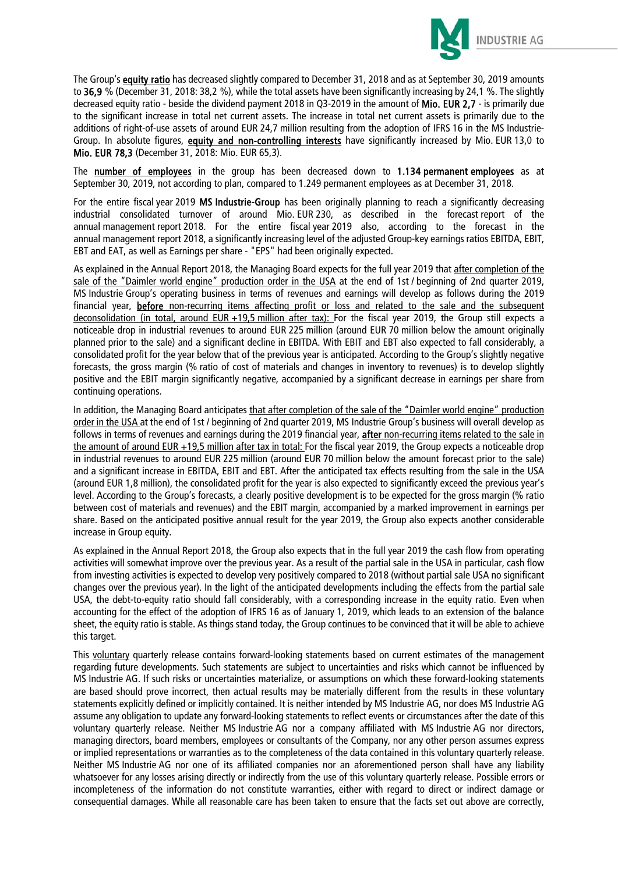

The Group's equity ratio has decreased slightly compared to December 31, 2018 and as at September 30, 2019 amounts to 36,9 % (December 31, 2018: 38,2 %), while the total assets have been significantly increasing by 24,1 %. The slightly decreased equity ratio - beside the dividend payment 2018 in Q3-2019 in the amount of Mio. EUR 2,7 - is primarily due to the significant increase in total net current assets. The increase in total net current assets is primarily due to the additions of right-of-use assets of around EUR 24,7 million resulting from the adoption of IFRS 16 in the MS Industrie-Group. In absolute figures, equity and non-controlling interests have significantly increased by Mio. EUR 13,0 to Mio. EUR 78,3 (December 31, 2018: Mio. EUR 65,3).

The number of employees in the group has been decreased down to 1.134 permanent employees as at September 30, 2019, not according to plan, compared to 1.249 permanent employees as at December 31, 2018.

For the entire fiscal year 2019 MS Industrie-Group has been originally planning to reach a significantly decreasing industrial consolidated turnover of around Mio. EUR 230, as described in the forecast report of the annual management report 2018. For the entire fiscal year 2019 also, according to the forecast in the annual management report 2018, a significantly increasing level of the adjusted Group-key earnings ratios EBITDA, EBIT, EBT and EAT, as well as Earnings per share - "EPS" had been originally expected.

As explained in the Annual Report 2018, the Managing Board expects for the full year 2019 that after completion of the sale of the "Daimler world engine" production order in the USA at the end of 1st / beginning of 2nd quarter 2019, MS Industrie Group's operating business in terms of revenues and earnings will develop as follows during the 2019 financial year, before non-recurring items affecting profit or loss and related to the sale and the subsequent deconsolidation (in total, around EUR +19,5 million after tax): For the fiscal year 2019, the Group still expects a noticeable drop in industrial revenues to around EUR 225 million (around EUR 70 million below the amount originally planned prior to the sale) and a significant decline in EBITDA. With EBIT and EBT also expected to fall considerably, a consolidated profit for the year below that of the previous year is anticipated. According to the Group's slightly negative forecasts, the gross margin (% ratio of cost of materials and changes in inventory to revenues) is to develop slightly positive and the EBIT margin significantly negative, accompanied by a significant decrease in earnings per share from continuing operations.

In addition, the Managing Board anticipates that after completion of the sale of the "Daimler world engine" production order in the USA at the end of 1st / beginning of 2nd quarter 2019, MS Industrie Group's business will overall develop as follows in terms of revenues and earnings during the 2019 financial year, after non-recurring items related to the sale in the amount of around EUR +19,5 million after tax in total: For the fiscal year 2019, the Group expects a noticeable drop in industrial revenues to around EUR 225 million (around EUR 70 million below the amount forecast prior to the sale) and a significant increase in EBITDA, EBIT and EBT. After the anticipated tax effects resulting from the sale in the USA (around EUR 1,8 million), the consolidated profit for the year is also expected to significantly exceed the previous year's level. According to the Group's forecasts, a clearly positive development is to be expected for the gross margin (% ratio between cost of materials and revenues) and the EBIT margin, accompanied by a marked improvement in earnings per share. Based on the anticipated positive annual result for the year 2019, the Group also expects another considerable increase in Group equity.

As explained in the Annual Report 2018, the Group also expects that in the full year 2019 the cash flow from operating activities will somewhat improve over the previous year. As a result of the partial sale in the USA in particular, cash flow from investing activities is expected to develop very positively compared to 2018 (without partial sale USA no significant changes over the previous year). In the light of the anticipated developments including the effects from the partial sale USA, the debt-to-equity ratio should fall considerably, with a corresponding increase in the equity ratio. Even when accounting for the effect of the adoption of IFRS 16 as of January 1, 2019, which leads to an extension of the balance sheet, the equity ratio is stable. As things stand today, the Group continues to be convinced that it will be able to achieve this target.

This voluntary quarterly release contains forward-looking statements based on current estimates of the management regarding future developments. Such statements are subject to uncertainties and risks which cannot be influenced by MS Industrie AG. If such risks or uncertainties materialize, or assumptions on which these forward-looking statements are based should prove incorrect, then actual results may be materially different from the results in these voluntary statements explicitly defined or implicitly contained. It is neither intended by MS Industrie AG, nor does MS Industrie AG assume any obligation to update any forward-looking statements to reflect events or circumstances after the date of this voluntary quarterly release. Neither MS Industrie AG nor a company affiliated with MS Industrie AG nor directors, managing directors, board members, employees or consultants of the Company, nor any other person assumes express or implied representations or warranties as to the completeness of the data contained in this voluntary quarterly release. Neither MS Industrie AG nor one of its affiliated companies nor an aforementioned person shall have any liability whatsoever for any losses arising directly or indirectly from the use of this voluntary quarterly release. Possible errors or incompleteness of the information do not constitute warranties, either with regard to direct or indirect damage or consequential damages. While all reasonable care has been taken to ensure that the facts set out above are correctly,